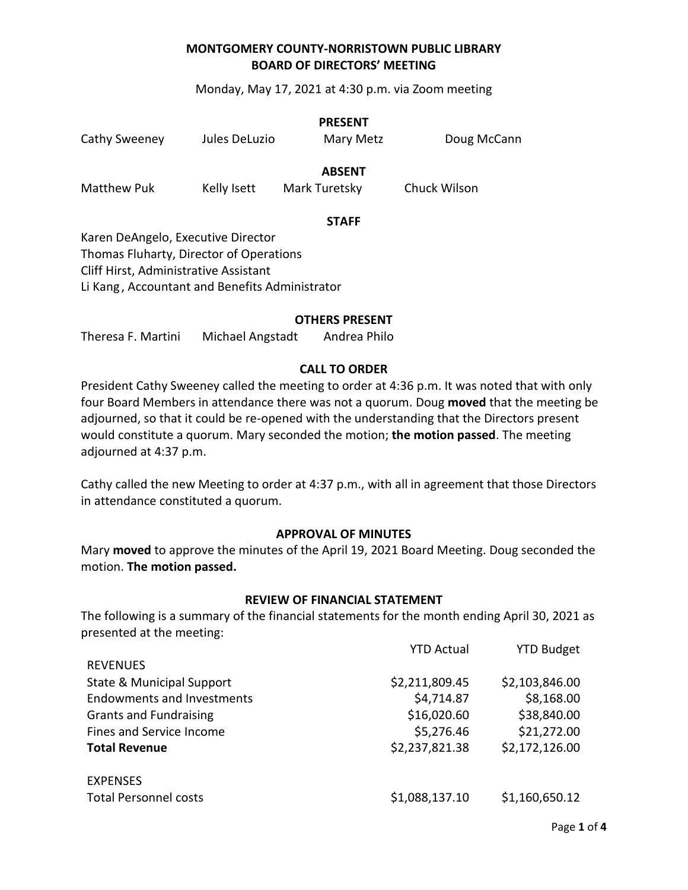Monday, May 17, 2021 at 4:30 p.m. via Zoom meeting

| Cathy Sweeney | Jules DeLuzio | <b>PRESENT</b><br>Mary Metz    | Doug McCann  |
|---------------|---------------|--------------------------------|--------------|
| Matthew Puk   | Kelly Isett   | <b>ABSENT</b><br>Mark Turetsky | Chuck Wilson |
|               |               | CT 8 F F                       |              |

#### **STAFF**

Karen DeAngelo, Executive Director Thomas Fluharty, Director of Operations Cliff Hirst, Administrative Assistant Li Kang , Accountant and Benefits Administrator

#### **OTHERS PRESENT**

Theresa F. Martini Michael Angstadt Andrea Philo

### **CALL TO ORDER**

President Cathy Sweeney called the meeting to order at 4:36 p.m. It was noted that with only four Board Members in attendance there was not a quorum. Doug **moved** that the meeting be adjourned, so that it could be re-opened with the understanding that the Directors present would constitute a quorum. Mary seconded the motion; **the motion passed**. The meeting adjourned at 4:37 p.m.

Cathy called the new Meeting to order at 4:37 p.m., with all in agreement that those Directors in attendance constituted a quorum.

### **APPROVAL OF MINUTES**

Mary **moved** to approve the minutes of the April 19, 2021 Board Meeting. Doug seconded the motion. **The motion passed.**

### **REVIEW OF FINANCIAL STATEMENT**

The following is a summary of the financial statements for the month ending April 30, 2021 as presented at the meeting:

|                                      | <b>YTD Actual</b> | <b>YTD Budget</b> |
|--------------------------------------|-------------------|-------------------|
| <b>REVENUES</b>                      |                   |                   |
| <b>State &amp; Municipal Support</b> | \$2,211,809.45    | \$2,103,846.00    |
| <b>Endowments and Investments</b>    | \$4,714.87        | \$8,168.00        |
| <b>Grants and Fundraising</b>        | \$16,020.60       | \$38,840.00       |
| Fines and Service Income             | \$5,276.46        | \$21,272.00       |
| <b>Total Revenue</b>                 | \$2,237,821.38    | \$2,172,126.00    |
| <b>EXPENSES</b>                      |                   |                   |
| <b>Total Personnel costs</b>         | \$1,088,137.10    | \$1,160,650.12    |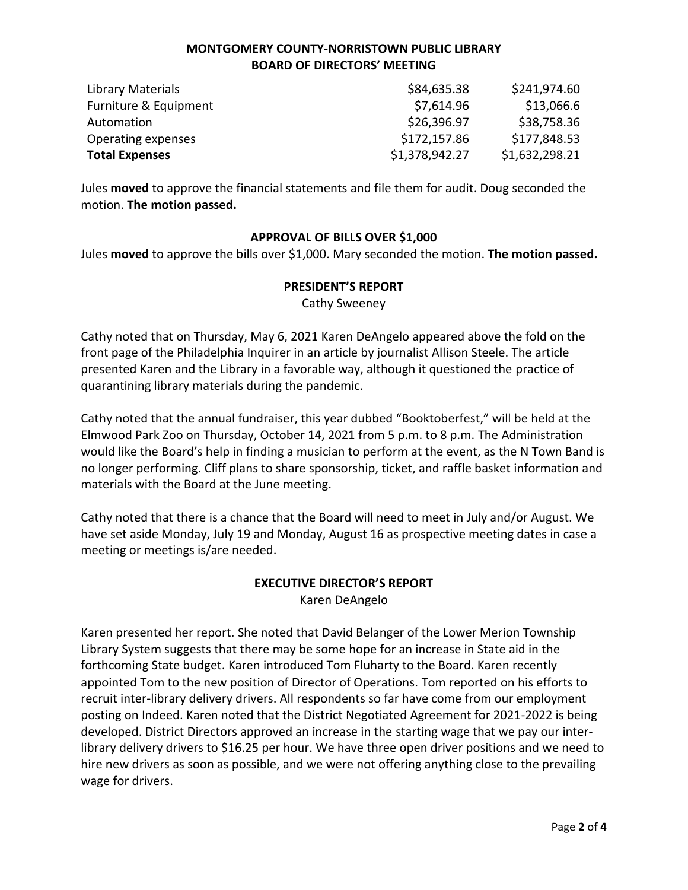| Library Materials     | \$84,635.38    | \$241,974.60   |
|-----------------------|----------------|----------------|
| Furniture & Equipment | \$7,614.96     | \$13,066.6     |
| Automation            | \$26,396.97    | \$38,758.36    |
| Operating expenses    | \$172,157.86   | \$177,848.53   |
| <b>Total Expenses</b> | \$1,378,942.27 | \$1,632,298.21 |

Jules **moved** to approve the financial statements and file them for audit. Doug seconded the motion. **The motion passed.** 

### **APPROVAL OF BILLS OVER \$1,000**

Jules **moved** to approve the bills over \$1,000. Mary seconded the motion. **The motion passed.**

### **PRESIDENT'S REPORT**

Cathy Sweeney

Cathy noted that on Thursday, May 6, 2021 Karen DeAngelo appeared above the fold on the front page of the Philadelphia Inquirer in an article by journalist Allison Steele. The article presented Karen and the Library in a favorable way, although it questioned the practice of quarantining library materials during the pandemic.

Cathy noted that the annual fundraiser, this year dubbed "Booktoberfest," will be held at the Elmwood Park Zoo on Thursday, October 14, 2021 from 5 p.m. to 8 p.m. The Administration would like the Board's help in finding a musician to perform at the event, as the N Town Band is no longer performing. Cliff plans to share sponsorship, ticket, and raffle basket information and materials with the Board at the June meeting.

Cathy noted that there is a chance that the Board will need to meet in July and/or August. We have set aside Monday, July 19 and Monday, August 16 as prospective meeting dates in case a meeting or meetings is/are needed.

# **EXECUTIVE DIRECTOR'S REPORT**

Karen DeAngelo

Karen presented her report. She noted that David Belanger of the Lower Merion Township Library System suggests that there may be some hope for an increase in State aid in the forthcoming State budget. Karen introduced Tom Fluharty to the Board. Karen recently appointed Tom to the new position of Director of Operations. Tom reported on his efforts to recruit inter-library delivery drivers. All respondents so far have come from our employment posting on Indeed. Karen noted that the District Negotiated Agreement for 2021-2022 is being developed. District Directors approved an increase in the starting wage that we pay our interlibrary delivery drivers to \$16.25 per hour. We have three open driver positions and we need to hire new drivers as soon as possible, and we were not offering anything close to the prevailing wage for drivers.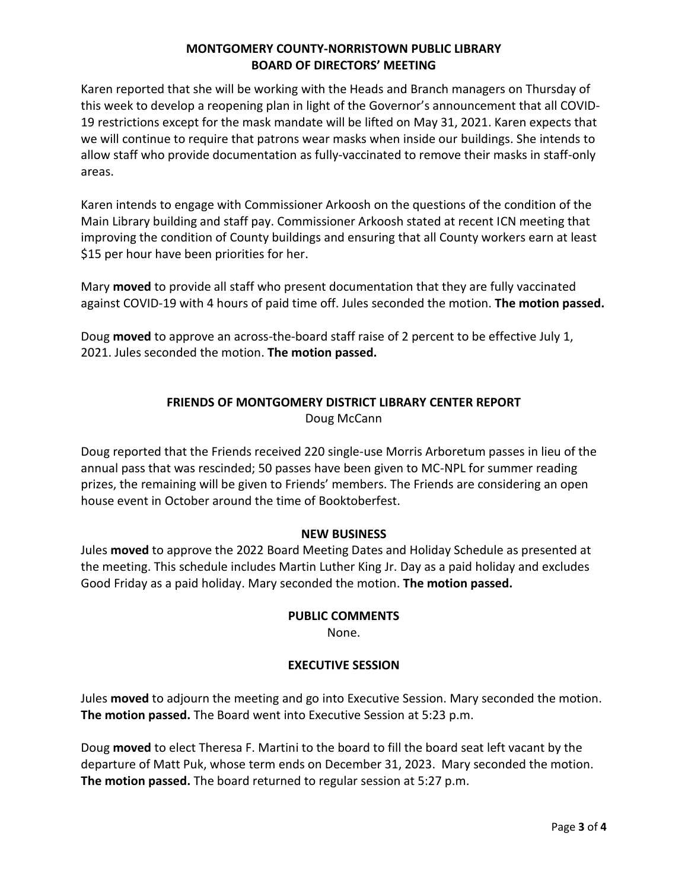Karen reported that she will be working with the Heads and Branch managers on Thursday of this week to develop a reopening plan in light of the Governor's announcement that all COVID-19 restrictions except for the mask mandate will be lifted on May 31, 2021. Karen expects that we will continue to require that patrons wear masks when inside our buildings. She intends to allow staff who provide documentation as fully-vaccinated to remove their masks in staff-only areas.

Karen intends to engage with Commissioner Arkoosh on the questions of the condition of the Main Library building and staff pay. Commissioner Arkoosh stated at recent ICN meeting that improving the condition of County buildings and ensuring that all County workers earn at least \$15 per hour have been priorities for her.

Mary **moved** to provide all staff who present documentation that they are fully vaccinated against COVID-19 with 4 hours of paid time off. Jules seconded the motion. **The motion passed.** 

Doug **moved** to approve an across-the-board staff raise of 2 percent to be effective July 1, 2021. Jules seconded the motion. **The motion passed.**

# **FRIENDS OF MONTGOMERY DISTRICT LIBRARY CENTER REPORT** Doug McCann

Doug reported that the Friends received 220 single-use Morris Arboretum passes in lieu of the annual pass that was rescinded; 50 passes have been given to MC-NPL for summer reading prizes, the remaining will be given to Friends' members. The Friends are considering an open house event in October around the time of Booktoberfest.

## **NEW BUSINESS**

Jules **moved** to approve the 2022 Board Meeting Dates and Holiday Schedule as presented at the meeting. This schedule includes Martin Luther King Jr. Day as a paid holiday and excludes Good Friday as a paid holiday. Mary seconded the motion. **The motion passed.** 

## **PUBLIC COMMENTS**

None.

## **EXECUTIVE SESSION**

Jules **moved** to adjourn the meeting and go into Executive Session. Mary seconded the motion. **The motion passed.** The Board went into Executive Session at 5:23 p.m.

Doug **moved** to elect Theresa F. Martini to the board to fill the board seat left vacant by the departure of Matt Puk, whose term ends on December 31, 2023. Mary seconded the motion. **The motion passed.** The board returned to regular session at 5:27 p.m.